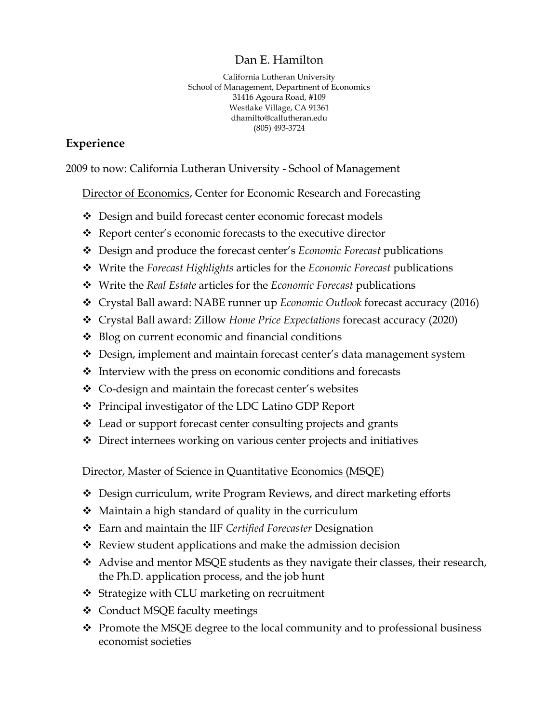#### Dan E. Hamilton

California Lutheran University School of Management, Department of Economics 31416 Agoura Road, #109 Westlake Village, CA 91361 dhamilto@callutheran.edu (805) 493-3724

### **Experience**

2009 to now: California Lutheran University - School of Management

**Director of Economics, Center for Economic Research and Forecasting** 

- Design and build forecast center economic forecast models
- Report center's economic forecasts to the executive director
- Design and produce the forecast center's *Economic Forecast* publications
- Write the *Forecast Highlights* articles for the *Economic Forecast* publications
- Write the *Real Estate* articles for the *Economic Forecast* publications
- Crystal Ball award: NABE runner up *Economic Outlook* forecast accuracy (2016)
- Crystal Ball award: Zillow *Home Price Expectations* forecast accuracy (2020)
- $\triangleleft$  Blog on current economic and financial conditions
- Design, implement and maintain forecast center's data management system
- $\triangleleft$  Interview with the press on economic conditions and forecasts
- ❖ Co-design and maintain the forecast center's websites
- Principal investigator of the LDC Latino GDP Report
- Lead or support forecast center consulting projects and grants
- Direct internees working on various center projects and initiatives

Director, Master of Science in Quantitative Economics (MSQE)

- Design curriculum, write Program Reviews, and direct marketing efforts
- $\triangleleft$  Maintain a high standard of quality in the curriculum
- Earn and maintain the IIF *Certified Forecaster* Designation
- $\triangleleft$  Review student applications and make the admission decision
- Advise and mentor MSQE students as they navigate their classes, their research, the Ph.D. application process, and the job hunt
- ❖ Strategize with CLU marketing on recruitment
- ❖ Conduct MSQE faculty meetings
- $\cdot$  Promote the MSQE degree to the local community and to professional business economist societies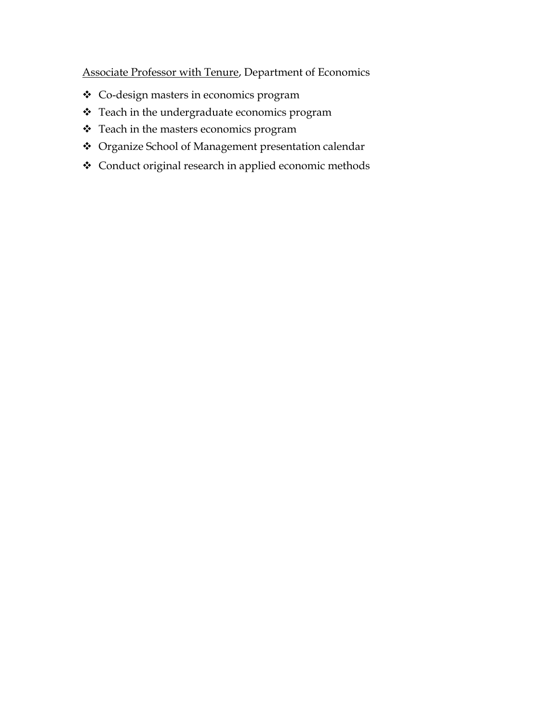Associate Professor with Tenure, Department of Economics

- Co-design masters in economics program
- \* Teach in the undergraduate economics program
- \* Teach in the masters economics program
- Organize School of Management presentation calendar
- Conduct original research in applied economic methods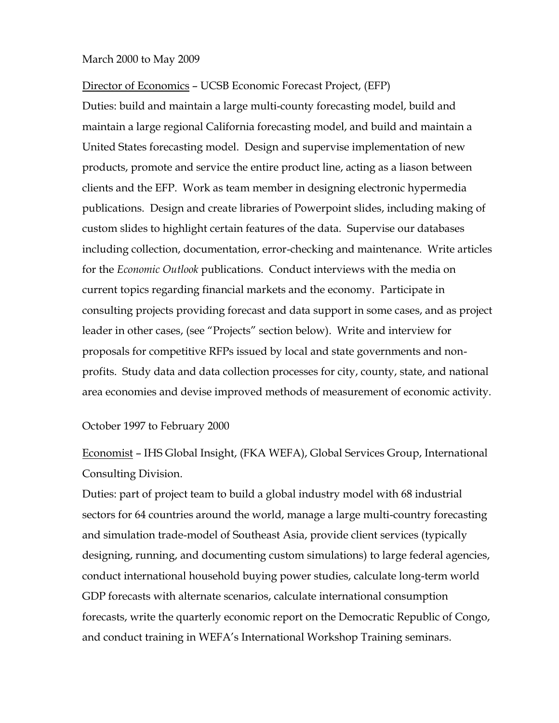#### March 2000 to May 2009

Director of Economics – UCSB Economic Forecast Project, (EFP)

Duties: build and maintain a large multi-county forecasting model, build and maintain a large regional California forecasting model, and build and maintain a United States forecasting model. Design and supervise implementation of new products, promote and service the entire product line, acting as a liason between clients and the EFP. Work as team member in designing electronic hypermedia publications. Design and create libraries of Powerpoint slides, including making of custom slides to highlight certain features of the data. Supervise our databases including collection, documentation, error-checking and maintenance. Write articles for the *Economic Outlook* publications. Conduct interviews with the media on current topics regarding financial markets and the economy. Participate in consulting projects providing forecast and data support in some cases, and as project leader in other cases, (see "Projects" section below). Write and interview for proposals for competitive RFPs issued by local and state governments and nonprofits. Study data and data collection processes for city, county, state, and national area economies and devise improved methods of measurement of economic activity.

October 1997 to February 2000

Economist – IHS Global Insight, (FKA WEFA), Global Services Group, International Consulting Division.

Duties: part of project team to build a global industry model with 68 industrial sectors for 64 countries around the world, manage a large multi-country forecasting and simulation trade-model of Southeast Asia, provide client services (typically designing, running, and documenting custom simulations) to large federal agencies, conduct international household buying power studies, calculate long-term world GDP forecasts with alternate scenarios, calculate international consumption forecasts, write the quarterly economic report on the Democratic Republic of Congo, and conduct training in WEFA's International Workshop Training seminars.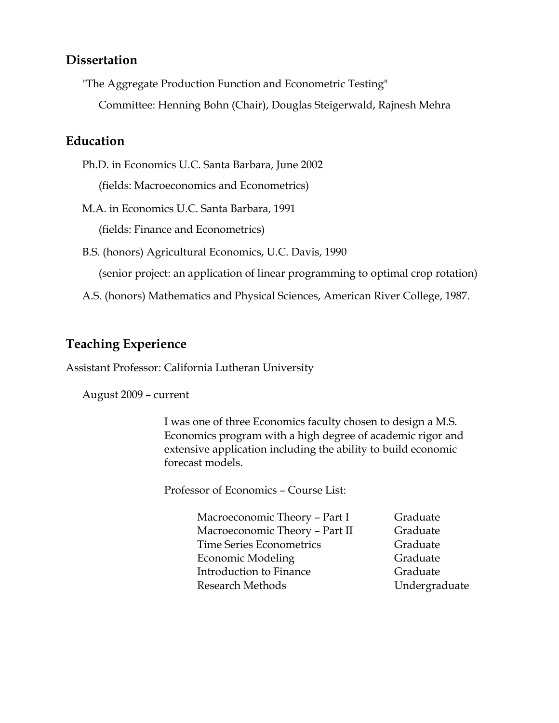### **Dissertation**

"The Aggregate Production Function and Econometric Testing"

Committee: Henning Bohn (Chair), Douglas Steigerwald, Rajnesh Mehra

### **Education**

Ph.D. in Economics U.C. Santa Barbara, June 2002

(fields: Macroeconomics and Econometrics)

M.A. in Economics U.C. Santa Barbara, 1991

(fields: Finance and Econometrics)

B.S. (honors) Agricultural Economics, U.C. Davis, 1990

(senior project: an application of linear programming to optimal crop rotation)

A.S. (honors) Mathematics and Physical Sciences, American River College, 1987.

## **Teaching Experience**

Assistant Professor: California Lutheran University

August 2009 – current

I was one of three Economics faculty chosen to design a M.S. Economics program with a high degree of academic rigor and extensive application including the ability to build economic forecast models.

Professor of Economics – Course List:

Graduate Graduate Graduate Graduate Graduate Undergraduate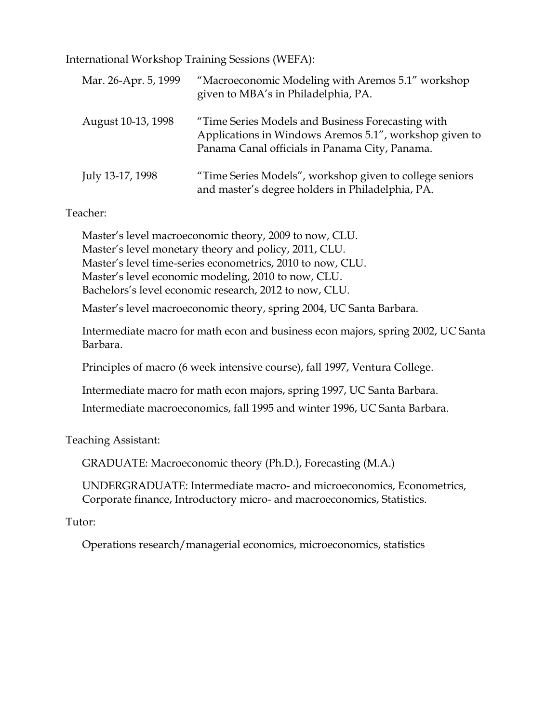International Workshop Training Sessions (WEFA):

| Mar. 26-Apr. 5, 1999 | "Macroeconomic Modeling with Aremos 5.1" workshop<br>given to MBA's in Philadelphia, PA.                                                                      |
|----------------------|---------------------------------------------------------------------------------------------------------------------------------------------------------------|
| August 10-13, 1998   | "Time Series Models and Business Forecasting with<br>Applications in Windows Aremos 5.1", workshop given to<br>Panama Canal officials in Panama City, Panama. |
| July 13-17, 1998     | "Time Series Models", workshop given to college seniors<br>and master's degree holders in Philadelphia, PA.                                                   |

#### Teacher:

Master's level macroeconomic theory, 2009 to now, CLU. Master's level monetary theory and policy, 2011, CLU. Master's level time-series econometrics, 2010 to now, CLU. Master's level economic modeling, 2010 to now, CLU. Bachelors's level economic research, 2012 to now, CLU.

Master's level macroeconomic theory, spring 2004, UC Santa Barbara.

Intermediate macro for math econ and business econ majors, spring 2002, UC Santa Barbara.

Principles of macro (6 week intensive course), fall 1997, Ventura College.

Intermediate macro for math econ majors, spring 1997, UC Santa Barbara.

Intermediate macroeconomics, fall 1995 and winter 1996, UC Santa Barbara.

Teaching Assistant:

GRADUATE: Macroeconomic theory (Ph.D.), Forecasting (M.A.)

UNDERGRADUATE: Intermediate macro- and microeconomics, Econometrics, Corporate finance, Introductory micro- and macroeconomics, Statistics.

Tutor:

Operations research/managerial economics, microeconomics, statistics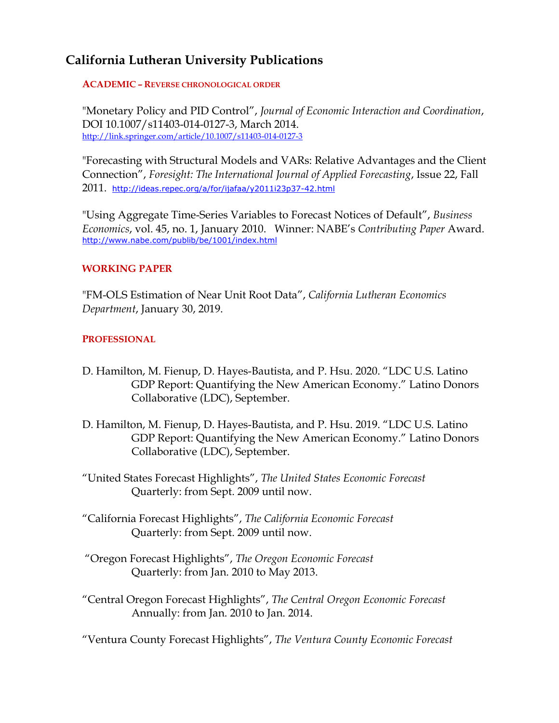## **California Lutheran University Publications**

**ACADEMIC – REVERSE CHRONOLOGICAL ORDER**

"Monetary Policy and PID Control", *Journal of Economic Interaction and Coordination*, DOI 10.1007/s11403-014-0127-3, March 2014. <http://link.springer.com/article/10.1007/s11403-014-0127-3>

"Forecasting with Structural Models and VARs: Relative Advantages and the Client Connection", *Foresight: The International Journal of Applied Forecasting*, Issue 22, Fall 2011. <http://ideas.repec.org/a/for/ijafaa/y2011i23p37-42.html>

"Using Aggregate Time-Series Variables to Forecast Notices of Default", *Business Economics*, vol. 45, no. 1, January 2010. Winner: NABE's *Contributing Paper* Award. <http://www.nabe.com/publib/be/1001/index.html>

#### **WORKING PAPER**

"FM-OLS Estimation of Near Unit Root Data", *California Lutheran Economics Department*, January 30, 2019.

#### **PROFESSIONAL**

- D. Hamilton, M. Fienup, D. Hayes-Bautista, and P. Hsu. 2020. "LDC U.S. Latino GDP Report: Quantifying the New American Economy." Latino Donors Collaborative (LDC), September.
- D. Hamilton, M. Fienup, D. Hayes-Bautista, and P. Hsu. 2019. "LDC U.S. Latino GDP Report: Quantifying the New American Economy." Latino Donors Collaborative (LDC), September.
- "United States Forecast Highlights", *The United States Economic Forecast* Quarterly: from Sept. 2009 until now.
- "California Forecast Highlights", *The California Economic Forecast* Quarterly: from Sept. 2009 until now.
- "Oregon Forecast Highlights", *The Oregon Economic Forecast* Quarterly: from Jan. 2010 to May 2013.
- "Central Oregon Forecast Highlights", *The Central Oregon Economic Forecast* Annually: from Jan. 2010 to Jan. 2014.

"Ventura County Forecast Highlights", *The Ventura County Economic Forecast*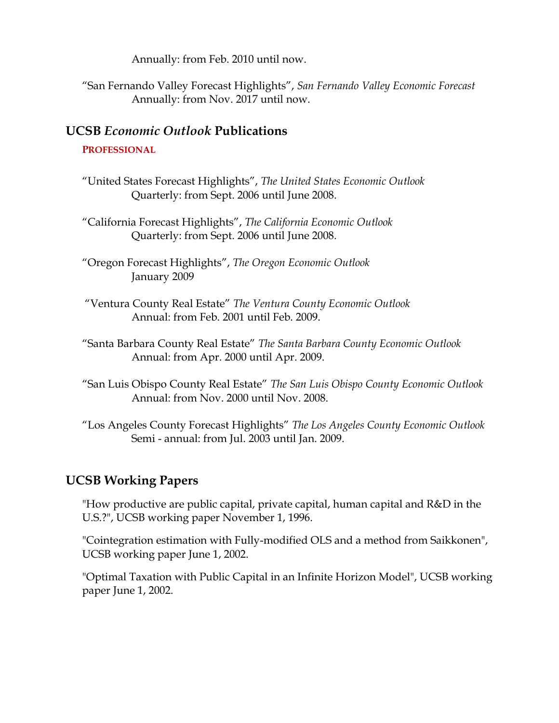Annually: from Feb. 2010 until now.

"San Fernando Valley Forecast Highlights", *San Fernando Valley Economic Forecast* Annually: from Nov. 2017 until now.

## **UCSB** *Economic Outlook* **Publications**

#### **PROFESSIONAL**

- "United States Forecast Highlights", *The United States Economic Outlook* Quarterly: from Sept. 2006 until June 2008.
- "California Forecast Highlights", *The California Economic Outlook* Quarterly: from Sept. 2006 until June 2008.
- "Oregon Forecast Highlights", *The Oregon Economic Outlook* January 2009
- "Ventura County Real Estate" *The Ventura County Economic Outlook* Annual: from Feb. 2001 until Feb. 2009.
- "Santa Barbara County Real Estate" *The Santa Barbara County Economic Outlook* Annual: from Apr. 2000 until Apr. 2009.
- "San Luis Obispo County Real Estate" *The San Luis Obispo County Economic Outlook* Annual: from Nov. 2000 until Nov. 2008.
- "Los Angeles County Forecast Highlights" *The Los Angeles County Economic Outlook* Semi - annual: from Jul. 2003 until Jan. 2009.

# **UCSB Working Papers**

"How productive are public capital, private capital, human capital and R&D in the U.S.?", UCSB working paper November 1, 1996.

"Cointegration estimation with Fully-modified OLS and a method from Saikkonen", UCSB working paper June 1, 2002.

"Optimal Taxation with Public Capital in an Infinite Horizon Model", UCSB working paper June 1, 2002.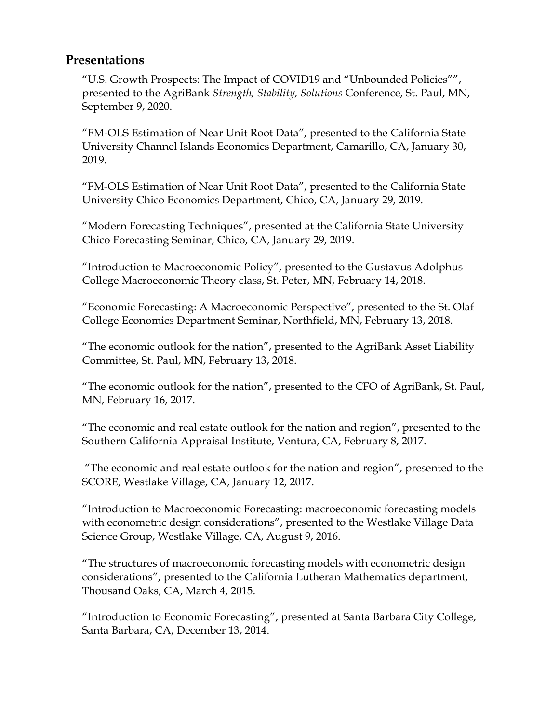### **Presentations**

"U.S. Growth Prospects: The Impact of COVID19 and "Unbounded Policies"", presented to the AgriBank *Strength, Stability, Solutions* Conference, St. Paul, MN, September 9, 2020.

"FM-OLS Estimation of Near Unit Root Data", presented to the California State University Channel Islands Economics Department, Camarillo, CA, January 30, 2019.

"FM-OLS Estimation of Near Unit Root Data", presented to the California State University Chico Economics Department, Chico, CA, January 29, 2019.

"Modern Forecasting Techniques", presented at the California State University Chico Forecasting Seminar, Chico, CA, January 29, 2019.

"Introduction to Macroeconomic Policy", presented to the Gustavus Adolphus College Macroeconomic Theory class, St. Peter, MN, February 14, 2018.

"Economic Forecasting: A Macroeconomic Perspective", presented to the St. Olaf College Economics Department Seminar, Northfield, MN, February 13, 2018.

"The economic outlook for the nation", presented to the AgriBank Asset Liability Committee, St. Paul, MN, February 13, 2018.

"The economic outlook for the nation", presented to the CFO of AgriBank, St. Paul, MN, February 16, 2017.

"The economic and real estate outlook for the nation and region", presented to the Southern California Appraisal Institute, Ventura, CA, February 8, 2017.

"The economic and real estate outlook for the nation and region", presented to the SCORE, Westlake Village, CA, January 12, 2017.

"Introduction to Macroeconomic Forecasting: macroeconomic forecasting models with econometric design considerations", presented to the Westlake Village Data Science Group, Westlake Village, CA, August 9, 2016.

"The structures of macroeconomic forecasting models with econometric design considerations", presented to the California Lutheran Mathematics department, Thousand Oaks, CA, March 4, 2015.

"Introduction to Economic Forecasting", presented at Santa Barbara City College, Santa Barbara, CA, December 13, 2014.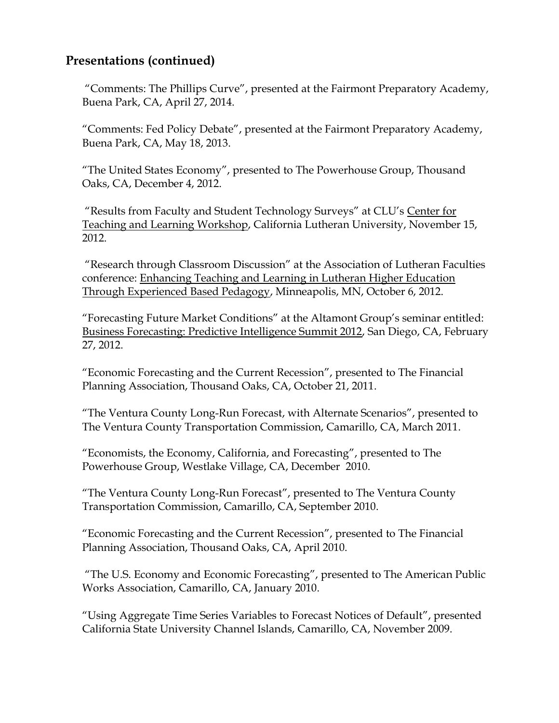## **Presentations (continued)**

"Comments: The Phillips Curve", presented at the Fairmont Preparatory Academy, Buena Park, CA, April 27, 2014.

"Comments: Fed Policy Debate", presented at the Fairmont Preparatory Academy, Buena Park, CA, May 18, 2013.

"The United States Economy", presented to The Powerhouse Group, Thousand Oaks, CA, December 4, 2012.

"Results from Faculty and Student Technology Surveys" at CLU's Center for Teaching and Learning Workshop, California Lutheran University, November 15, 2012.

"Research through Classroom Discussion" at the Association of Lutheran Faculties conference: Enhancing Teaching and Learning in Lutheran Higher Education Through Experienced Based Pedagogy, Minneapolis, MN, October 6, 2012.

"Forecasting Future Market Conditions" at the Altamont Group's seminar entitled: Business Forecasting: Predictive Intelligence Summit 2012, San Diego, CA, February 27, 2012.

"Economic Forecasting and the Current Recession", presented to The Financial Planning Association, Thousand Oaks, CA, October 21, 2011.

"The Ventura County Long-Run Forecast, with Alternate Scenarios", presented to The Ventura County Transportation Commission, Camarillo, CA, March 2011.

"Economists, the Economy, California, and Forecasting", presented to The Powerhouse Group, Westlake Village, CA, December 2010.

"The Ventura County Long-Run Forecast", presented to The Ventura County Transportation Commission, Camarillo, CA, September 2010.

"Economic Forecasting and the Current Recession", presented to The Financial Planning Association, Thousand Oaks, CA, April 2010.

"The U.S. Economy and Economic Forecasting", presented to The American Public Works Association, Camarillo, CA, January 2010.

"Using Aggregate Time Series Variables to Forecast Notices of Default", presented California State University Channel Islands, Camarillo, CA, November 2009.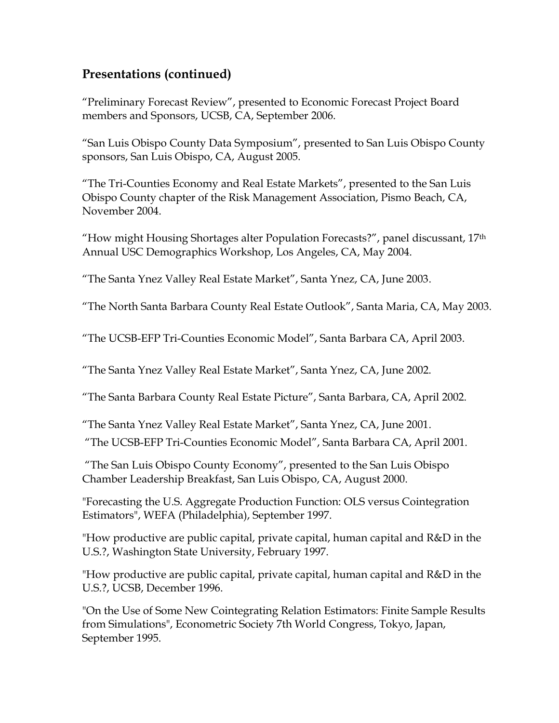## **Presentations (continued)**

"Preliminary Forecast Review", presented to Economic Forecast Project Board members and Sponsors, UCSB, CA, September 2006.

"San Luis Obispo County Data Symposium", presented to San Luis Obispo County sponsors, San Luis Obispo, CA, August 2005.

"The Tri-Counties Economy and Real Estate Markets", presented to the San Luis Obispo County chapter of the Risk Management Association, Pismo Beach, CA, November 2004.

"How might Housing Shortages alter Population Forecasts?", panel discussant, 17th Annual USC Demographics Workshop, Los Angeles, CA, May 2004.

"The Santa Ynez Valley Real Estate Market", Santa Ynez, CA, June 2003.

"The North Santa Barbara County Real Estate Outlook", Santa Maria, CA, May 2003.

"The UCSB-EFP Tri-Counties Economic Model", Santa Barbara CA, April 2003.

"The Santa Ynez Valley Real Estate Market", Santa Ynez, CA, June 2002.

"The Santa Barbara County Real Estate Picture", Santa Barbara, CA, April 2002.

"The Santa Ynez Valley Real Estate Market", Santa Ynez, CA, June 2001.

"The UCSB-EFP Tri-Counties Economic Model", Santa Barbara CA, April 2001.

"The San Luis Obispo County Economy", presented to the San Luis Obispo Chamber Leadership Breakfast, San Luis Obispo, CA, August 2000.

"Forecasting the U.S. Aggregate Production Function: OLS versus Cointegration Estimators", WEFA (Philadelphia), September 1997.

"How productive are public capital, private capital, human capital and R&D in the U.S.?, Washington State University, February 1997.

"How productive are public capital, private capital, human capital and R&D in the U.S.?, UCSB, December 1996.

"On the Use of Some New Cointegrating Relation Estimators: Finite Sample Results from Simulations", Econometric Society 7th World Congress, Tokyo, Japan, September 1995.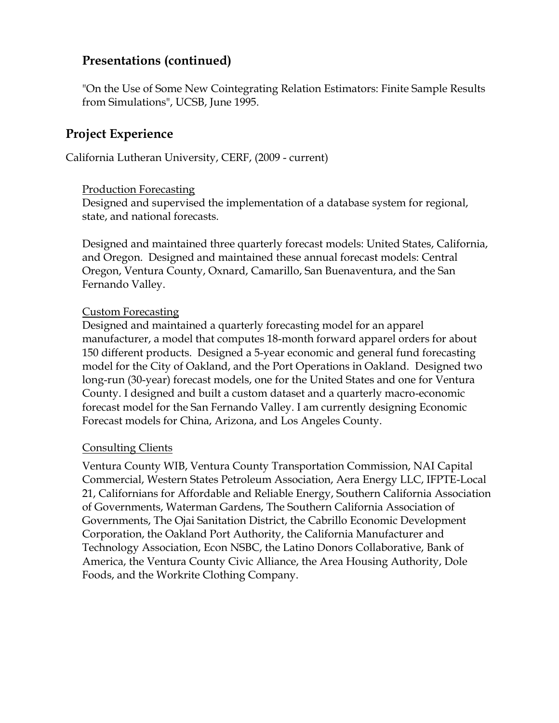## **Presentations (continued)**

"On the Use of Some New Cointegrating Relation Estimators: Finite Sample Results from Simulations", UCSB, June 1995.

## **Project Experience**

California Lutheran University, CERF, (2009 - current)

#### Production Forecasting

Designed and supervised the implementation of a database system for regional, state, and national forecasts.

Designed and maintained three quarterly forecast models: United States, California, and Oregon. Designed and maintained these annual forecast models: Central Oregon, Ventura County, Oxnard, Camarillo, San Buenaventura, and the San Fernando Valley.

#### Custom Forecasting

Designed and maintained a quarterly forecasting model for an apparel manufacturer, a model that computes 18-month forward apparel orders for about 150 different products. Designed a 5-year economic and general fund forecasting model for the City of Oakland, and the Port Operations in Oakland. Designed two long-run (30-year) forecast models, one for the United States and one for Ventura County. I designed and built a custom dataset and a quarterly macro-economic forecast model for the San Fernando Valley. I am currently designing Economic Forecast models for China, Arizona, and Los Angeles County.

### Consulting Clients

Ventura County WIB, Ventura County Transportation Commission, NAI Capital Commercial, Western States Petroleum Association, Aera Energy LLC, IFPTE-Local 21, Californians for Affordable and Reliable Energy, Southern California Association of Governments, Waterman Gardens, The Southern California Association of Governments, The Ojai Sanitation District, the Cabrillo Economic Development Corporation, the Oakland Port Authority, the California Manufacturer and Technology Association, Econ NSBC, the Latino Donors Collaborative, Bank of America, the Ventura County Civic Alliance, the Area Housing Authority, Dole Foods, and the Workrite Clothing Company.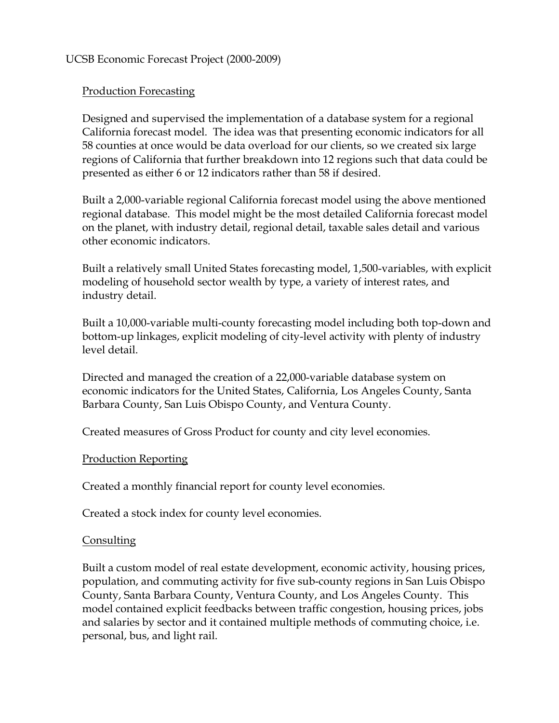#### UCSB Economic Forecast Project (2000-2009)

#### Production Forecasting

Designed and supervised the implementation of a database system for a regional California forecast model. The idea was that presenting economic indicators for all 58 counties at once would be data overload for our clients, so we created six large regions of California that further breakdown into 12 regions such that data could be presented as either 6 or 12 indicators rather than 58 if desired.

Built a 2,000-variable regional California forecast model using the above mentioned regional database. This model might be the most detailed California forecast model on the planet, with industry detail, regional detail, taxable sales detail and various other economic indicators.

Built a relatively small United States forecasting model, 1,500-variables, with explicit modeling of household sector wealth by type, a variety of interest rates, and industry detail.

Built a 10,000-variable multi-county forecasting model including both top-down and bottom-up linkages, explicit modeling of city-level activity with plenty of industry level detail.

Directed and managed the creation of a 22,000-variable database system on economic indicators for the United States, California, Los Angeles County, Santa Barbara County, San Luis Obispo County, and Ventura County.

Created measures of Gross Product for county and city level economies.

#### Production Reporting

Created a monthly financial report for county level economies.

Created a stock index for county level economies.

#### Consulting

Built a custom model of real estate development, economic activity, housing prices, population, and commuting activity for five sub-county regions in San Luis Obispo County, Santa Barbara County, Ventura County, and Los Angeles County. This model contained explicit feedbacks between traffic congestion, housing prices, jobs and salaries by sector and it contained multiple methods of commuting choice, i.e. personal, bus, and light rail.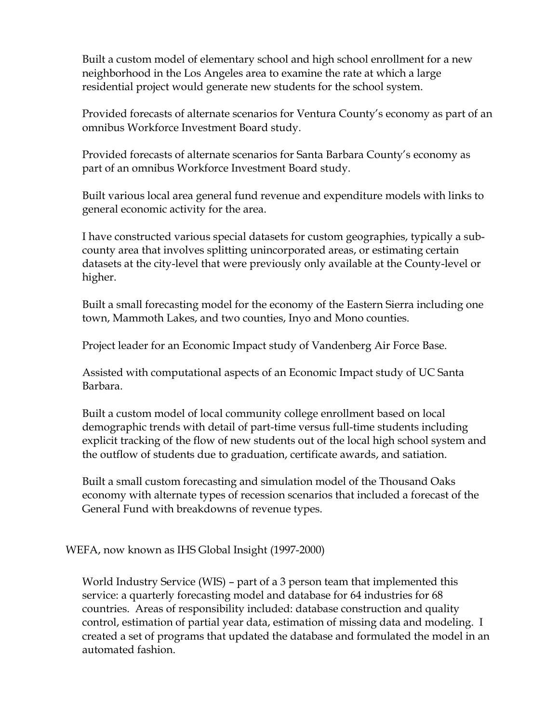Built a custom model of elementary school and high school enrollment for a new neighborhood in the Los Angeles area to examine the rate at which a large residential project would generate new students for the school system.

Provided forecasts of alternate scenarios for Ventura County's economy as part of an omnibus Workforce Investment Board study.

Provided forecasts of alternate scenarios for Santa Barbara County's economy as part of an omnibus Workforce Investment Board study.

Built various local area general fund revenue and expenditure models with links to general economic activity for the area.

I have constructed various special datasets for custom geographies, typically a subcounty area that involves splitting unincorporated areas, or estimating certain datasets at the city-level that were previously only available at the County-level or higher.

Built a small forecasting model for the economy of the Eastern Sierra including one town, Mammoth Lakes, and two counties, Inyo and Mono counties.

Project leader for an Economic Impact study of Vandenberg Air Force Base.

Assisted with computational aspects of an Economic Impact study of UC Santa Barbara.

Built a custom model of local community college enrollment based on local demographic trends with detail of part-time versus full-time students including explicit tracking of the flow of new students out of the local high school system and the outflow of students due to graduation, certificate awards, and satiation.

Built a small custom forecasting and simulation model of the Thousand Oaks economy with alternate types of recession scenarios that included a forecast of the General Fund with breakdowns of revenue types.

WEFA, now known as IHS Global Insight (1997-2000)

World Industry Service (WIS) – part of a 3 person team that implemented this service: a quarterly forecasting model and database for 64 industries for 68 countries. Areas of responsibility included: database construction and quality control, estimation of partial year data, estimation of missing data and modeling. I created a set of programs that updated the database and formulated the model in an automated fashion.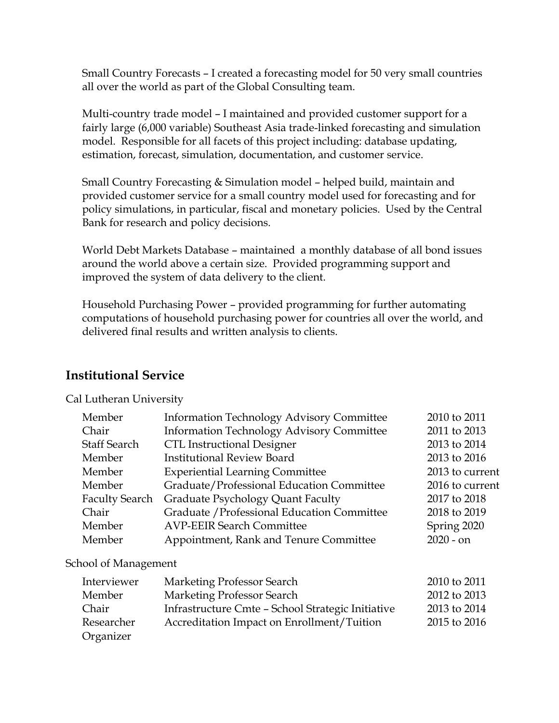Small Country Forecasts – I created a forecasting model for 50 very small countries all over the world as part of the Global Consulting team.

Multi-country trade model – I maintained and provided customer support for a fairly large (6,000 variable) Southeast Asia trade-linked forecasting and simulation model. Responsible for all facets of this project including: database updating, estimation, forecast, simulation, documentation, and customer service.

Small Country Forecasting & Simulation model – helped build, maintain and provided customer service for a small country model used for forecasting and for policy simulations, in particular, fiscal and monetary policies. Used by the Central Bank for research and policy decisions.

World Debt Markets Database – maintained a monthly database of all bond issues around the world above a certain size. Provided programming support and improved the system of data delivery to the client.

Household Purchasing Power – provided programming for further automating computations of household purchasing power for countries all over the world, and delivered final results and written analysis to clients.

## **Institutional Service**

Cal Lutheran University

| Member                | <b>Information Technology Advisory Committee</b> | 2010 to 2011    |
|-----------------------|--------------------------------------------------|-----------------|
| Chair                 | <b>Information Technology Advisory Committee</b> | 2011 to 2013    |
| <b>Staff Search</b>   | <b>CTL Instructional Designer</b>                | 2013 to 2014    |
| Member                | <b>Institutional Review Board</b>                | 2013 to 2016    |
| Member                | <b>Experiential Learning Committee</b>           | 2013 to current |
| Member                | Graduate/Professional Education Committee        | 2016 to current |
| <b>Faculty Search</b> | Graduate Psychology Quant Faculty                | 2017 to 2018    |
| Chair                 | Graduate / Professional Education Committee      | 2018 to 2019    |
| Member                | <b>AVP-EEIR Search Committee</b>                 | Spring 2020     |
| Member                | Appointment, Rank and Tenure Committee           | $2020 - on$     |

#### School of Management

| Interviewer | Marketing Professor Search                        | 2010 to 2011 |
|-------------|---------------------------------------------------|--------------|
| Member      | Marketing Professor Search                        | 2012 to 2013 |
| Chair       | Infrastructure Cmte - School Strategic Initiative | 2013 to 2014 |
| Researcher  | Accreditation Impact on Enrollment/Tuition        | 2015 to 2016 |
| Organizer   |                                                   |              |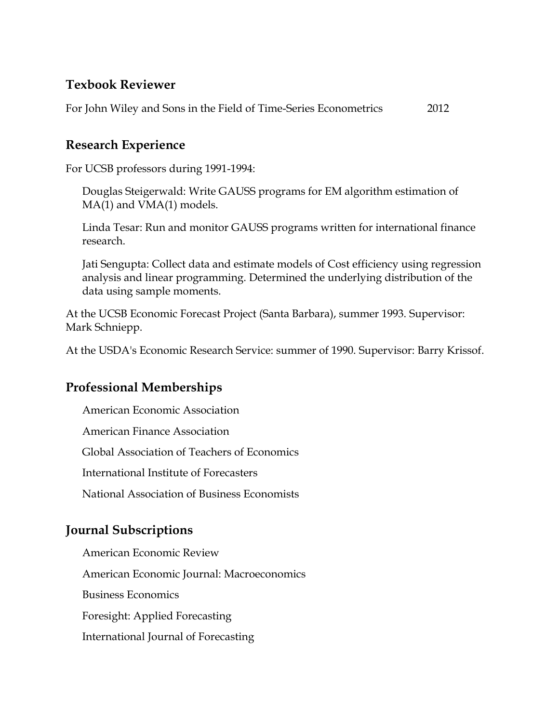## **Texbook Reviewer**

For John Wiley and Sons in the Field of Time-Series Econometrics 2012

## **Research Experience**

For UCSB professors during 1991-1994:

Douglas Steigerwald: Write GAUSS programs for EM algorithm estimation of MA(1) and VMA(1) models.

Linda Tesar: Run and monitor GAUSS programs written for international finance research.

Jati Sengupta: Collect data and estimate models of Cost efficiency using regression analysis and linear programming. Determined the underlying distribution of the data using sample moments.

At the UCSB Economic Forecast Project (Santa Barbara), summer 1993. Supervisor: Mark Schniepp.

At the USDA's Economic Research Service: summer of 1990. Supervisor: Barry Krissof.

## **Professional Memberships**

American Economic Association American Finance Association

Global Association of Teachers of Economics

International Institute of Forecasters

National Association of Business Economists

## **Journal Subscriptions**

American Economic Review American Economic Journal: Macroeconomics Business Economics Foresight: Applied Forecasting International Journal of Forecasting